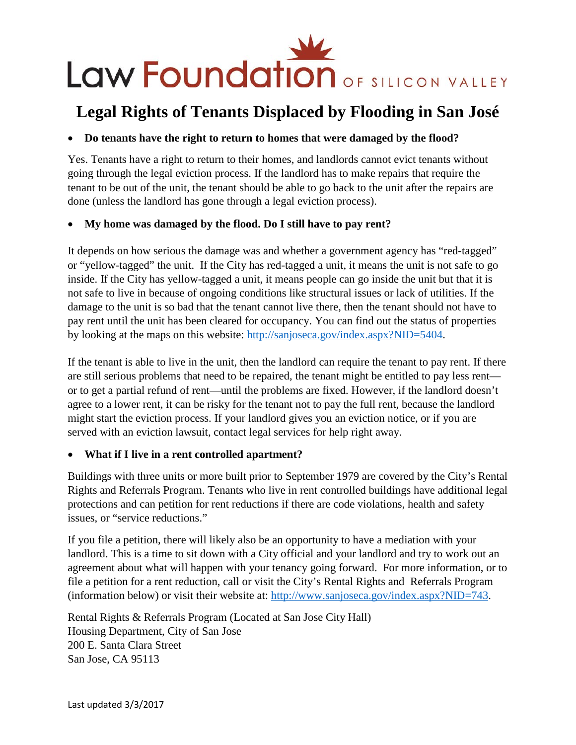

# **Legal Rights of Tenants Displaced by Flooding in San José**

#### • **Do tenants have the right to return to homes that were damaged by the flood?**

Yes. Tenants have a right to return to their homes, and landlords cannot evict tenants without going through the legal eviction process. If the landlord has to make repairs that require the tenant to be out of the unit, the tenant should be able to go back to the unit after the repairs are done (unless the landlord has gone through a legal eviction process).

#### • **My home was damaged by the flood. Do I still have to pay rent?**

It depends on how serious the damage was and whether a government agency has "red-tagged" or "yellow-tagged" the unit. If the City has red-tagged a unit, it means the unit is not safe to go inside. If the City has yellow-tagged a unit, it means people can go inside the unit but that it is not safe to live in because of ongoing conditions like structural issues or lack of utilities. If the damage to the unit is so bad that the tenant cannot live there, then the tenant should not have to pay rent until the unit has been cleared for occupancy. You can find out the status of properties by looking at the maps on this website: [http://sanjoseca.gov/index.aspx?NID=5404.](http://sanjoseca.gov/index.aspx?NID=5404)

If the tenant is able to live in the unit, then the landlord can require the tenant to pay rent. If there are still serious problems that need to be repaired, the tenant might be entitled to pay less rent or to get a partial refund of rent—until the problems are fixed. However, if the landlord doesn't agree to a lower rent, it can be risky for the tenant not to pay the full rent, because the landlord might start the eviction process. If your landlord gives you an eviction notice, or if you are served with an eviction lawsuit, contact legal services for help right away.

#### • **What if I live in a rent controlled apartment?**

Buildings with three units or more built prior to September 1979 are covered by the City's Rental Rights and Referrals Program. Tenants who live in rent controlled buildings have additional legal protections and can petition for rent reductions if there are code violations, health and safety issues, or "service reductions."

If you file a petition, there will likely also be an opportunity to have a mediation with your landlord. This is a time to sit down with a City official and your landlord and try to work out an agreement about what will happen with your tenancy going forward. For more information, or to file a petition for a rent reduction, call or visit the City's Rental Rights and Referrals Program (information below) or visit their website at: [http://www.sanjoseca.gov/index.aspx?NID=743.](http://www.sanjoseca.gov/index.aspx?NID=743)

Rental Rights & Referrals Program (Located at San Jose City Hall) Housing Department, City of San Jose 200 E. Santa Clara Street San Jose, CA 95113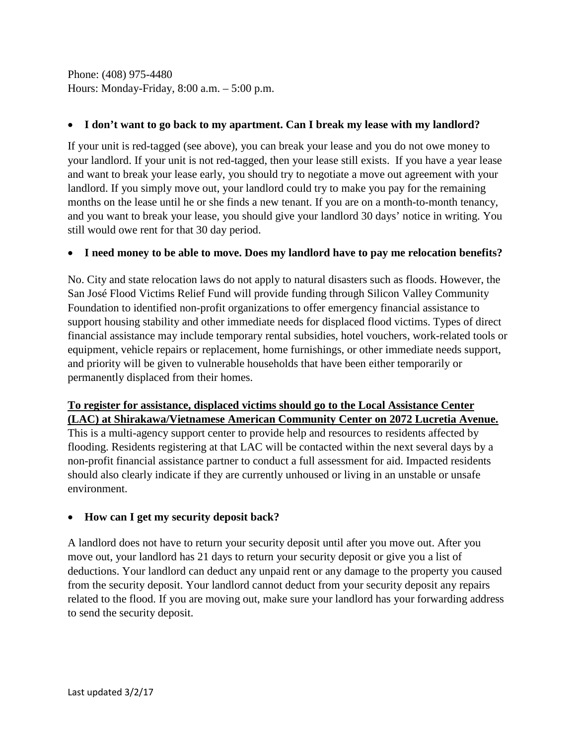Phone: (408) 975-4480 Hours: Monday-Friday, 8:00 a.m. – 5:00 p.m.

## • **I don't want to go back to my apartment. Can I break my lease with my landlord?**

If your unit is red-tagged (see above), you can break your lease and you do not owe money to your landlord. If your unit is not red-tagged, then your lease still exists. If you have a year lease and want to break your lease early, you should try to negotiate a move out agreement with your landlord. If you simply move out, your landlord could try to make you pay for the remaining months on the lease until he or she finds a new tenant. If you are on a month-to-month tenancy, and you want to break your lease, you should give your landlord 30 days' notice in writing. You still would owe rent for that 30 day period.

## • **I need money to be able to move. Does my landlord have to pay me relocation benefits?**

No. City and state relocation laws do not apply to natural disasters such as floods. However, the San José Flood Victims Relief Fund will provide funding through Silicon Valley Community Foundation to identified non-profit organizations to offer emergency financial assistance to support housing stability and other immediate needs for displaced flood victims. Types of direct financial assistance may include temporary rental subsidies, hotel vouchers, work-related tools or equipment, vehicle repairs or replacement, home furnishings, or other immediate needs support, and priority will be given to vulnerable households that have been either temporarily or permanently displaced from their homes.

# **To register for assistance, displaced victims should go to the Local Assistance Center (LAC) at Shirakawa/Vietnamese American Community Center on 2072 Lucretia Avenue.**

This is a multi-agency support center to provide help and resources to residents affected by flooding. Residents registering at that LAC will be contacted within the next several days by a non-profit financial assistance partner to conduct a full assessment for aid. Impacted residents should also clearly indicate if they are currently unhoused or living in an unstable or unsafe environment.

# • **How can I get my security deposit back?**

A landlord does not have to return your security deposit until after you move out. After you move out, your landlord has 21 days to return your security deposit or give you a list of deductions. Your landlord can deduct any unpaid rent or any damage to the property you caused from the security deposit. Your landlord cannot deduct from your security deposit any repairs related to the flood. If you are moving out, make sure your landlord has your forwarding address to send the security deposit.